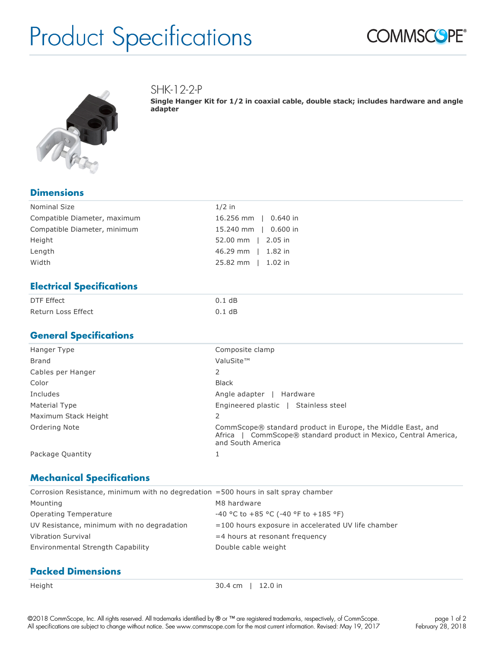# Product Specifications





SHK-12-2-P

**Single Hanger Kit for 1/2 in coaxial cable, double stack; includes hardware and angle adapter**

### **Dimensions**

| Nominal Size                 | $1/2$ in             |
|------------------------------|----------------------|
| Compatible Diameter, maximum | 16.256 mm   0.640 in |
| Compatible Diameter, minimum | 15.240 mm   0.600 in |
| Height                       | 52.00 mm   2.05 in   |
| Length                       | 46.29 mm   1.82 in   |
| Width                        | 25.82 mm   1.02 in   |

### **Electrical Specifications**

| DTF Effect         | 0.1 dB   |
|--------------------|----------|
| Return Loss Effect | $0.1$ dB |

### **General Specifications**

| Hanger Type          | Composite clamp                                                                                                                                         |
|----------------------|---------------------------------------------------------------------------------------------------------------------------------------------------------|
| Brand                | ValuSite™                                                                                                                                               |
| Cables per Hanger    | 2                                                                                                                                                       |
| Color                | <b>Black</b>                                                                                                                                            |
| Includes             | Angle adapter<br>Hardware                                                                                                                               |
| Material Type        | Engineered plastic   Stainless steel                                                                                                                    |
| Maximum Stack Height | 2                                                                                                                                                       |
| Ordering Note        | CommScope® standard product in Europe, the Middle East, and<br>CommScope® standard product in Mexico, Central America,<br>Africa I<br>and South America |
| Package Quantity     |                                                                                                                                                         |

## **Mechanical Specifications**

| Corrosion Resistance, minimum with no degredation =500 hours in salt spray chamber |                                                    |  |  |
|------------------------------------------------------------------------------------|----------------------------------------------------|--|--|
| Mounting                                                                           | M8 hardware                                        |  |  |
| Operating Temperature                                                              | -40 °C to +85 °C (-40 °F to +185 °F)               |  |  |
| UV Resistance, minimum with no degradation                                         | =100 hours exposure in accelerated UV life chamber |  |  |
| <b>Vibration Survival</b>                                                          | $=$ 4 hours at resonant frequency                  |  |  |
| Environmental Strength Capability                                                  | Double cable weight                                |  |  |
|                                                                                    |                                                    |  |  |

## **Packed Dimensions**

Height 30.4 cm | 12.0 in